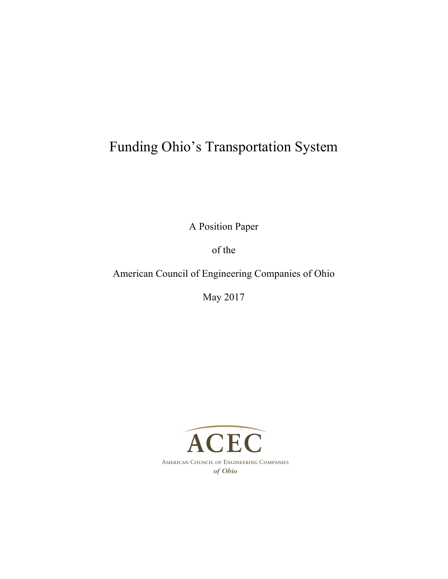# Funding Ohio's Transportation System

A Position Paper

of the

American Council of Engineering Companies of Ohio

May 2017

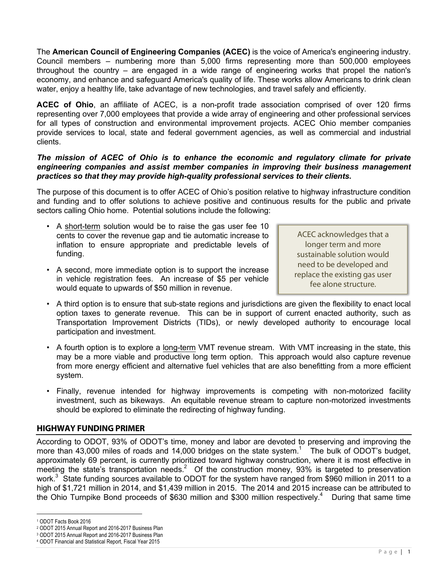The **American Council of Engineering Companies (ACEC)** is the voice of America's engineering industry. Council members – numbering more than 5,000 firms representing more than 500,000 employees throughout the country – are engaged in a wide range of engineering works that propel the nation's economy, and enhance and safeguard America's quality of life. These works allow Americans to drink clean water, enjoy a healthy life, take advantage of new technologies, and travel safely and efficiently.

**ACEC of Ohio**, an affiliate of ACEC, is a non-profit trade association comprised of over 120 firms representing over 7,000 employees that provide a wide array of engineering and other professional services for all types of construction and environmental improvement projects. ACEC Ohio member companies provide services to local, state and federal government agencies, as well as commercial and industrial clients.

#### *The mission of ACEC of Ohio is to enhance the economic and regulatory climate for private engineering companies and assist member companies in improving their business management practices so that they may provide high-quality professional services to their clients.*

The purpose of this document is to offer ACEC of Ohio's position relative to highway infrastructure condition and funding and to offer solutions to achieve positive and continuous results for the public and private sectors calling Ohio home. Potential solutions include the following:

- A short-term solution would be to raise the gas user fee 10 cents to cover the revenue gap and tie automatic increase to inflation to ensure appropriate and predictable levels of funding.
- A second, more immediate option is to support the increase in vehicle registration fees. An increase of \$5 per vehicle would equate to upwards of \$50 million in revenue.

ACEC acknowledges that a longer term and more sustainable solution would need to be developed and replace the existing gas user fee alone structure.

- A third option is to ensure that sub-state regions and jurisdictions are given the flexibility to enact local option taxes to generate revenue. This can be in support of current enacted authority, such as Transportation Improvement Districts (TIDs), or newly developed authority to encourage local participation and investment.
- A fourth option is to explore a long-term VMT revenue stream. With VMT increasing in the state, this may be a more viable and productive long term option. This approach would also capture revenue from more energy efficient and alternative fuel vehicles that are also benefitting from a more efficient system.
- Finally, revenue intended for highway improvements is competing with non-motorized facility investment, such as bikeways. An equitable revenue stream to capture non-motorized investments should be explored to eliminate the redirecting of highway funding.

## **HIGHWAY FUNDING PRIMER**

According to ODOT, 93% of ODOT's time, money and labor are devoted to preserving and improving the more than 43,000 miles of roads and 14,000 bridges on the state system.<sup>1</sup> The bulk of ODOT's budget, approximately 69 percent, is currently prioritized toward highway construction, where it is most effective in meeting the state's transportation needs.<sup>2</sup> Of the construction money, 93% is targeted to preservation work.<sup>3</sup> State funding sources available to ODOT for the system have ranged from \$960 million in 2011 to a high of \$1,721 million in 2014, and \$1,439 million in 2015. The 2014 and 2015 increase can be attributed to the Ohio Turnpike Bond proceeds of \$630 million and \$300 million respectively.<sup>4</sup> During that same time

<sup>1</sup> ODOT Facts Book 2016

<sup>2</sup> ODOT 2015 Annual Report and 2016-2017 Business Plan

<sup>3</sup> ODOT 2015 Annual Report and 2016-2017 Business Plan

<sup>4</sup> ODOT Financial and Statistical Report, Fiscal Year 2015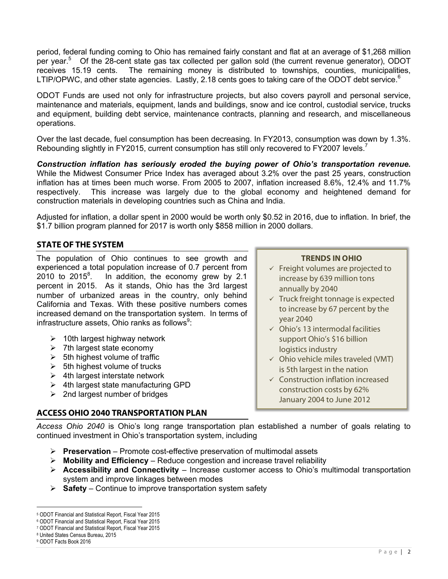period, federal funding coming to Ohio has remained fairly constant and flat at an average of \$1,268 million per year.<sup>5</sup> Of the 28-cent state gas tax collected per gallon sold (the current revenue generator), ODOT receives 15.19 cents. The remaining money is distributed to townships, counties, municipalities, LTIP/OPWC, and other state agencies. Lastly, 2.18 cents goes to taking care of the ODOT debt service.<sup>6</sup>

ODOT Funds are used not only for infrastructure projects, but also covers payroll and personal service, maintenance and materials, equipment, lands and buildings, snow and ice control, custodial service, trucks and equipment, building debt service, maintenance contracts, planning and research, and miscellaneous operations.

Over the last decade, fuel consumption has been decreasing. In FY2013, consumption was down by 1.3%. Rebounding slightly in FY2015, current consumption has still only recovered to FY2007 levels.<sup>7</sup>

*Construction inflation has seriously eroded the buying power of Ohio's transportation revenue.* While the Midwest Consumer Price Index has averaged about 3.2% over the past 25 years, construction inflation has at times been much worse. From 2005 to 2007, inflation increased 8.6%, 12.4% and 11.7% respectively. This increase was largely due to the global economy and heightened demand for construction materials in developing countries such as China and India.

Adjusted for inflation, a dollar spent in 2000 would be worth only \$0.52 in 2016, due to inflation. In brief, the \$1.7 billion program planned for 2017 is worth only \$858 million in 2000 dollars.

## **STATE OF THE SYSTEM**

The population of Ohio continues to see growth and experienced a total population increase of 0.7 percent from 2010 to  $2015^8$ . . In addition, the economy grew by 2.1 percent in 2015. As it stands, Ohio has the 3rd largest number of urbanized areas in the country, only behind California and Texas. With these positive numbers comes increased demand on the transportation system. In terms of infrastructure assets, Ohio ranks as follows $^9$ :

- $\geq$  10th largest highway network
- $\triangleright$  7th largest state economy
- $\geq$  5th highest volume of traffic
- $\geq$  5th highest volume of trucks
- $\geq$  4th largest interstate network
- $\triangleright$  4th largest state manufacturing GPD
- $\geq$  2nd largest number of bridges

## **TRENDS IN OHIO**

- $\checkmark$  Freight volumes are projected to increase by 639 million tons annually by 2040
- $\checkmark$  Truck freight tonnage is expected to increase by 67 percent by the year 2040
- $\checkmark$  Ohio's 13 intermodal facilities support Ohio's \$16 billion logistics industry
- $\checkmark$  Ohio vehicle miles traveled (VMT) is 5th largest in the nation
- $\checkmark$  Construction inflation increased construction costs by 62% January 2004 to June 2012

## **ACCESS OHIO 2040 TRANSPORTATION PLAN**

*Access Ohio 2040* is Ohio's long range transportation plan established a number of goals relating to continued investment in Ohio's transportation system, including

- Ø **Preservation** Promote cost-effective preservation of multimodal assets
- $\triangleright$  **Mobility and Efficiency** Reduce congestion and increase travel reliability
- Ø **Accessibility and Connectivity** Increase customer access to Ohio's multimodal transportation system and improve linkages between modes
- $\triangleright$  **Safety** Continue to improve transportation system safety

<sup>5</sup> ODOT Financial and Statistical Report, Fiscal Year 2015

<sup>6</sup> ODOT Financial and Statistical Report, Fiscal Year 2015

<sup>7</sup> ODOT Financial and Statistical Report, Fiscal Year 2015

<sup>8</sup> United States Census Bureau, 2015

<sup>9</sup> ODOT Facts Book 2016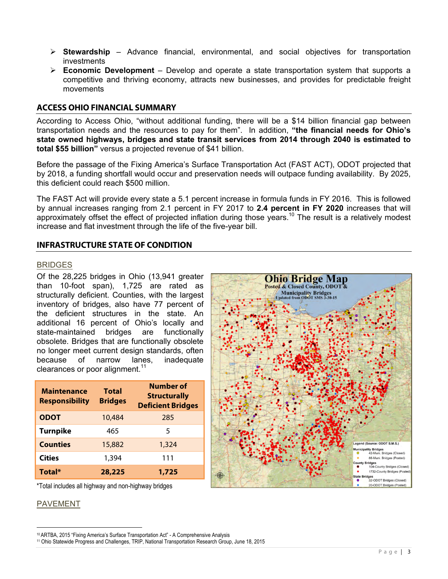- Ø **Stewardship** Advance financial, environmental, and social objectives for transportation investments
- Ø **Economic Development** Develop and operate a state transportation system that supports a competitive and thriving economy, attracts new businesses, and provides for predictable freight movements

#### **ACCESS OHIO FINANCIAL SUMMARY**

According to Access Ohio, "without additional funding, there will be a \$14 billion financial gap between transportation needs and the resources to pay for them". In addition, **"the financial needs for Ohio's state owned highways, bridges and state transit services from 2014 through 2040 is estimated to total \$55 billion"** versus a projected revenue of \$41 billion.

Before the passage of the Fixing America's Surface Transportation Act (FAST ACT), ODOT projected that by 2018, a funding shortfall would occur and preservation needs will outpace funding availability. By 2025, this deficient could reach \$500 million.

The FAST Act will provide every state a 5.1 percent increase in formula funds in FY 2016. This is followed by annual increases ranging from 2.1 percent in FY 2017 to **2.4 percent in FY 2020** increases that will approximately offset the effect of projected inflation during those years.<sup>10</sup> The result is a relatively modest increase and flat investment through the life of the five-year bill.

#### **INFRASTRUCTURE STATE OF CONDITION**

#### BRIDGES

Of the 28,225 bridges in Ohio (13,941 greater than 10-foot span), 1,725 are rated as structurally deficient. Counties, with the largest inventory of bridges, also have 77 percent of the deficient structures in the state. An additional 16 percent of Ohio's locally and state-maintained bridges are functionally obsolete. Bridges that are functionally obsolete no longer meet current design standards, often because of narrow lanes, inadequate clearances or poor alignment. $11$ 

| <b>Maintenance</b><br><b>Responsibility</b> | Total<br><b>Bridges</b> | Number of<br><b>Structurally</b><br><b>Deficient Bridges</b> |
|---------------------------------------------|-------------------------|--------------------------------------------------------------|
| <b>ODOT</b>                                 | 10,484                  | 285                                                          |
| <b>Turnpike</b>                             | 465                     | 5                                                            |
| <b>Counties</b>                             | 15,882                  | 1,324                                                        |
| <b>Cities</b>                               | 1,394                   | 111                                                          |
| Total*                                      | 28,225                  | 1,725                                                        |

\*Total includes all highway and non-highway bridges

 

#### PAVEMENT



<sup>10</sup> ARTBA, 2015 "Fixing America's Surface Transportation Act" - A Comprehensive Analysis

<sup>11</sup> Ohio Statewide Progress and Challenges, TRIP, National Transportation Research Group, June 18, 2015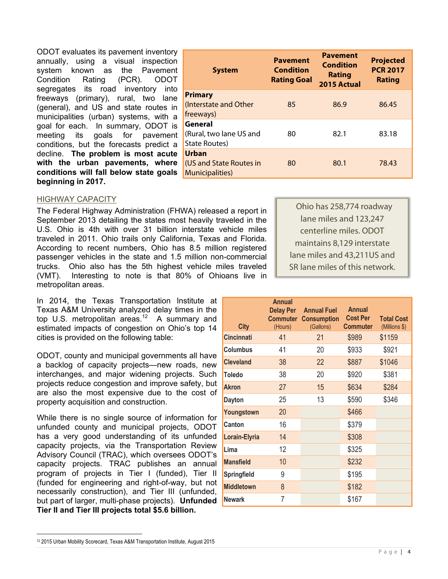ODOT evaluates its pavement inventory annually, using a visual inspection system known as the Pavement Condition Rating (PCR). ODOT segregates its road inventory into freeways (primary), rural, two lane (general), and US and state routes in municipalities (urban) systems, with a goal for each. In summary, ODOT is meeting its goals for pavement conditions, but the forecasts predict a decline. **The problem is most acute with the urban pavements, where conditions will fall below state goals beginning in 2017.**

| <b>System</b>                                               | <b>Pavement</b><br><b>Condition</b><br><b>Rating Goal</b> | <b>Pavement</b><br>Condition<br><b>Rating</b><br>2015 Actual | <b>Projected</b><br><b>PCR 2017</b><br><b>Rating</b> |
|-------------------------------------------------------------|-----------------------------------------------------------|--------------------------------------------------------------|------------------------------------------------------|
| <b>Primary</b><br>(Interstate and Other<br>freeways)        | 85                                                        | 86.9                                                         | 86.45                                                |
| General<br>(Rural, two lane US and<br>State Routes)         | 80                                                        | 82.1                                                         | 83.18                                                |
| Urban<br>(US and State Routes in<br><b>Municipalities</b> ) | 80                                                        | 80.1                                                         | 78.43                                                |

#### HIGHWAY CAPACITY

The Federal Highway Administration (FHWA) released a report in September 2013 detailing the states most heavily traveled in the U.S. Ohio is 4th with over 31 billion interstate vehicle miles traveled in 2011. Ohio trails only California, Texas and Florida. According to recent numbers, Ohio has 8.5 million registered passenger vehicles in the state and 1.5 million non-commercial trucks. Ohio also has the 5th highest vehicle miles traveled (VMT). Interesting to note is that 80% of Ohioans live in metropolitan areas.

In 2014, the Texas Transportation Institute at Texas A&M University analyzed delay times in the top U.S. metropolitan areas. $12$  A summary and estimated impacts of congestion on Ohio's top 14 cities is provided on the following table:

ODOT, county and municipal governments all have a backlog of capacity projects—new roads, new interchanges, and major widening projects. Such projects reduce congestion and improve safety, but are also the most expensive due to the cost of property acquisition and construction.

While there is no single source of information for unfunded county and municipal projects, ODOT has a very good understanding of its unfunded capacity projects, via the Transportation Review Advisory Council (TRAC), which oversees ODOT's capacity projects. TRAC publishes an annual program of projects in Tier I (funded), Tier II (funded for engineering and right-of-way, but not necessarily construction), and Tier III (unfunded, but part of larger, multi-phase projects). **Unfunded Tier II and Tier III projects total \$5.6 billion.**

 Ohio has 258,774 roadway lane miles and 123,247 centerline miles. ODOT maintains 8,129 interstate lane miles and 43,211US and SR lane miles of this network.

| <b>City</b>        | <b>Annual</b><br><b>Delay Per</b><br><b>Commuter</b><br>(Hours) | <b>Annual Fuel</b><br><b>Consumption</b><br>(Gallons) | <b>Annual</b><br><b>Cost Per</b><br><b>Commuter</b> | <b>Total Cost</b><br>(Millions \$) |
|--------------------|-----------------------------------------------------------------|-------------------------------------------------------|-----------------------------------------------------|------------------------------------|
| <b>Cincinnati</b>  | 41                                                              | 21                                                    | \$989                                               | \$1159                             |
| Columbus           | 41                                                              | 20                                                    | \$933                                               | \$921                              |
| <b>Cleveland</b>   | 38                                                              | 22                                                    | \$887                                               | \$1046                             |
| Toledo             | 38                                                              | 20                                                    | \$920                                               | \$381                              |
| <b>Akron</b>       | 27                                                              | 15                                                    | \$634                                               | \$284                              |
| <b>Dayton</b>      | 25                                                              | 13                                                    | \$590                                               | \$346                              |
| Youngstown         | 20                                                              |                                                       | \$466                                               |                                    |
| Canton             | 16                                                              |                                                       | \$379                                               |                                    |
| Lorain-Elyria      | 14                                                              |                                                       | \$308                                               |                                    |
| Lima               | 12                                                              |                                                       | \$325                                               |                                    |
| <b>Mansfield</b>   | 10                                                              |                                                       | \$232                                               |                                    |
| <b>Springfield</b> | 9                                                               |                                                       | \$195                                               |                                    |
| <b>Middletown</b>  | 8                                                               |                                                       | \$182                                               |                                    |
| Newark             | 7                                                               |                                                       | \$167                                               |                                    |

<sup>12</sup> 2015 Urban Mobility Scorecard, Texas A&M Transportation Institute, August 2015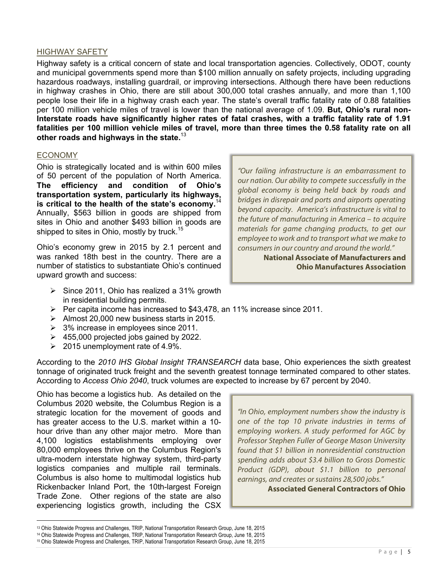#### HIGHWAY SAFETY

Highway safety is a critical concern of state and local transportation agencies. Collectively, ODOT, county and municipal governments spend more than \$100 million annually on safety projects, including upgrading hazardous roadways, installing guardrail, or improving intersections. Although there have been reductions in highway crashes in Ohio, there are still about 300,000 total crashes annually, and more than 1,100 people lose their life in a highway crash each year. The state's overall traffic fatality rate of 0.88 fatalities per 100 million vehicle miles of travel is lower than the national average of 1.09. **But, Ohio's rural non-Interstate roads have significantly higher rates of fatal crashes, with a traffic fatality rate of 1.91 fatalities per 100 million vehicle miles of travel, more than three times the 0.58 fatality rate on all other roads and highways in the state.**<sup>13</sup>

#### ECONOMY

Ohio is strategically located and is within 600 miles of 50 percent of the population of North America. **The efficiency and condition of Ohio's transportation system, particularly its highways, is critical to the health of the state's economy.**14 Annually, \$563 billion in goods are shipped from sites in Ohio and another \$493 billion in goods are shipped to sites in Ohio, mostly by truck.<sup>15</sup>

Ohio's economy grew in 2015 by 2.1 percent and was ranked 18th best in the country. There are a number of statistics to substantiate Ohio's continued upward growth and success:

- $\triangleright$  Since 2011, Ohio has realized a 31% growth in residential building permits.
	-
- $\triangleright$  Per capita income has increased to \$43,478, an 11% increase since 2011.
- $\triangleright$  Almost 20,000 new business starts in 2015.
- $\geq$  3% increase in employees since 2011.
- $\geq$  455,000 projected jobs gained by 2022.
- $\geq 2015$  unemployment rate of 4.9%.

According to the *2010 IHS Global Insight TRANSEARCH* data base, Ohio experiences the sixth greatest tonnage of originated truck freight and the seventh greatest tonnage terminated compared to other states. According to *Access Ohio 2040*, truck volumes are expected to increase by 67 percent by 2040.

Ohio has become a logistics hub. As detailed on the Columbus 2020 website, the Columbus Region is a strategic location for the movement of goods and has greater access to the U.S. market within a 10 hour drive than any other major metro. More than 4,100 logistics establishments employing over 80,000 employees thrive on the Columbus Region's ultra-modern interstate highway system, third-party logistics companies and multiple rail terminals. Columbus is also home to multimodal logistics hub Rickenbacker Inland Port, the 10th-largest Foreign Trade Zone. Other regions of the state are also experiencing logistics growth, including the CSX

 

*"Our failing infrastructure is an embarrassment to our nation. Our ability to compete successfully in the global economy is being held back by roads and bridges in disrepair and ports and airports operating beyond capacity. America's infrastructure is vital to the future of manufacturing in America – to acquire materials for game changing products, to get our employee to work and to transport what we make to consumers in our country and around the world."*

**National Associate of Manufacturers and Ohio Manufactures Association**

*"In Ohio, employment numbers show the industry is one of the top 10 private industries in terms of employing workers. A study performed for AGC by Professor Stephen Fuller of George Mason University found that \$1 billion in nonresidential construction spending adds about \$3.4 billion to Gross Domestic Product (GDP), about \$1.1 billion to personal earnings, and creates or sustains 28,500 jobs."*

**Associated General Contractors of Ohio**

<sup>13</sup> Ohio Statewide Progress and Challenges, TRIP, National Transportation Research Group, June 18, 2015

<sup>14</sup> Ohio Statewide Progress and Challenges, TRIP, National Transportation Research Group, June 18, 2015

<sup>15</sup> Ohio Statewide Progress and Challenges, TRIP, National Transportation Research Group, June 18, 2015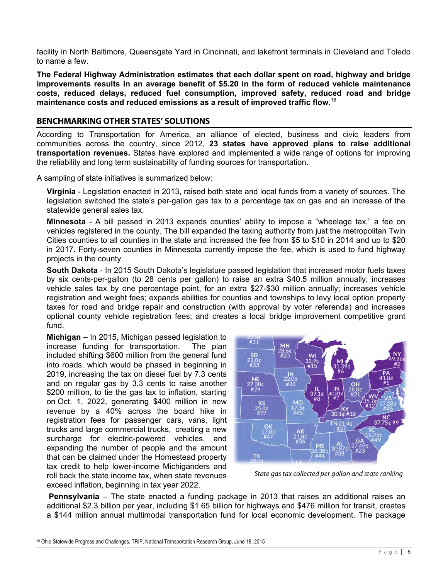facility in North Baltimore, Queensgate Yard in Cincinnati, and lakefront terminals in Cleveland and Toledo to name a few.

**The Federal Highway Administration estimates that each dollar spent on road, highway and bridge improvements results in an average benefit of \$5.20 in the form of reduced vehicle maintenance costs, reduced delays, reduced fuel consumption, improved safety, reduced road and bridge maintenance costs and reduced emissions as a result of improved traffic flow.**<sup>16</sup>

## **BENCHMARKING OTHER STATES' SOLUTIONS**

According to Transportation for America, an alliance of elected, business and civic leaders from communities across the country, since 2012, **23 states have approved plans to raise additional transportation revenues.** States have explored and implemented a wide range of options for improving the reliability and long term sustainability of funding sources for transportation.

A sampling of state initiatives is summarized below:

**Virginia** - Legislation enacted in 2013, raised both state and local funds from a variety of sources. The legislation switched the state's per-gallon gas tax to a percentage tax on gas and an increase of the statewide general sales tax.

**Minnesota** - A bill passed in 2013 expands counties' ability to impose a "wheelage tax," a fee on vehicles registered in the county. The bill expanded the taxing authority from just the metropolitan Twin Cities counties to all counties in the state and increased the fee from \$5 to \$10 in 2014 and up to \$20 in 2017. Forty-seven counties in Minnesota currently impose the fee, which is used to fund highway projects in the county.

**South Dakota** - In 2015 South Dakota's legislature passed legislation that increased motor fuels taxes by six cents-per-gallon (to 28 cents per gallon) to raise an extra \$40.5 million annually; increases vehicle sales tax by one percentage point, for an extra \$27-\$30 million annually; increases vehicle registration and weight fees; expands abilities for counties and townships to levy local option property taxes for road and bridge repair and construction (with approval by voter referenda) and increases optional county vehicle registration fees; and creates a local bridge improvement competitive grant fund.

**Michigan** – In 2015, Michigan passed legislation to increase funding for transportation. The plan included shifting \$600 million from the general fund into roads, which would be phased in beginning in 2019, increasing the tax on diesel fuel by 7.3 cents and on regular gas by 3.3 cents to raise another \$200 million, to tie the gas tax to inflation, starting on Oct. 1, 2022, generating \$400 million in new revenue by a 40% across the board hike in registration fees for passenger cars, vans, light trucks and large commercial trucks, creating a new surcharge for electric-powered vehicles, and expanding the number of people and the amount that can be claimed under the Homestead property tax credit to help lower-income Michiganders and roll back the state income tax, when state revenues exceed inflation, beginning in tax year 2022.



*State gas tax collected per gallon and state ranking*

**Pennsylvania** – The state enacted a funding package in 2013 that raises an additional raises an additional \$2.3 billion per year, including \$1.65 billion for highways and \$476 million for transit, creates a \$144 million annual multimodal transportation fund for local economic development. The package

<sup>16</sup> Ohio Statewide Progress and Challenges, TRIP, National Transportation Research Group, June 18, 2015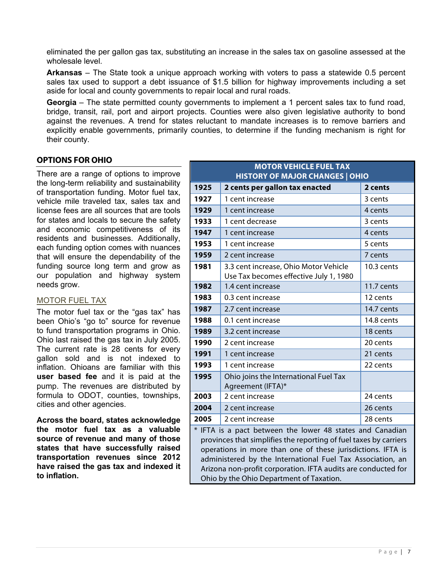eliminated the per gallon gas tax, substituting an increase in the sales tax on gasoline assessed at the wholesale level.

**Arkansas** – The State took a unique approach working with voters to pass a statewide 0.5 percent sales tax used to support a debt issuance of \$1.5 billion for highway improvements including a set aside for local and county governments to repair local and rural roads.

**Georgia** – The state permitted county governments to implement a 1 percent sales tax to fund road, bridge, transit, rail, port and airport projects. Counties were also given legislative authority to bond against the revenues. A trend for states reluctant to mandate increases is to remove barriers and explicitly enable governments, primarily counties, to determine if the funding mechanism is right for their county.

## **OPTIONS FOR OHIO**

There are a range of options to improve the long-term reliability and sustainability of transportation funding. Motor fuel tax, vehicle mile traveled tax, sales tax and license fees are all sources that are tools for states and locals to secure the safety and economic competitiveness of its residents and businesses. Additionally, each funding option comes with nuances that will ensure the dependability of the funding source long term and grow as our population and highway system needs grow.

## MOTOR FUEL TAX

The motor fuel tax or the "gas tax" has been Ohio's "go to" source for revenue to fund transportation programs in Ohio. Ohio last raised the gas tax in July 2005. The current rate is 28 cents for every gallon sold and is not indexed to inflation. Ohioans are familiar with this **user based fee** and it is paid at the pump. The revenues are distributed by formula to ODOT, counties, townships, cities and other agencies.

**Across the board, states acknowledge the motor fuel tax as a valuable source of revenue and many of those states that have successfully raised transportation revenues since 2012 have raised the gas tax and indexed it to inflation.**

| <b>MOTOR VEHICLE FUEL TAX</b><br><b>HISTORY OF MAJOR CHANGES   OHIO</b> |                                                                                 |              |  |
|-------------------------------------------------------------------------|---------------------------------------------------------------------------------|--------------|--|
| 1925                                                                    | 2 cents per gallon tax enacted                                                  | 2 cents      |  |
| 1927                                                                    | 1 cent increase                                                                 | 3 cents      |  |
| 1929                                                                    | 1 cent increase                                                                 | 4 cents      |  |
| 1933                                                                    | 1 cent decrease                                                                 | 3 cents      |  |
| 1947                                                                    | 1 cent increase                                                                 | 4 cents      |  |
| 1953                                                                    | 1 cent increase                                                                 | 5 cents      |  |
| 1959                                                                    | 2 cent increase                                                                 | 7 cents      |  |
| 1981                                                                    | 3.3 cent increase, Ohio Motor Vehicle<br>Use Tax becomes effective July 1, 1980 | 10.3 cents   |  |
| 1982                                                                    | 1.4 cent increase                                                               | $11.7$ cents |  |
| 1983                                                                    | 0.3 cent increase                                                               | 12 cents     |  |
| 1987                                                                    | 2.7 cent increase                                                               | 14.7 cents   |  |
| 1988                                                                    | 0.1 cent increase                                                               | 14.8 cents   |  |
| 1989                                                                    | 3.2 cent increase                                                               | 18 cents     |  |
| 1990                                                                    | 2 cent increase                                                                 | 20 cents     |  |
| 1991                                                                    | 1 cent increase                                                                 | 21 cents     |  |
| 1993                                                                    | 1 cent increase                                                                 | 22 cents     |  |
| 1995                                                                    | Ohio joins the International Fuel Tax<br>Agreement (IFTA)*                      |              |  |
| 2003                                                                    | 2 cent increase                                                                 | 24 cents     |  |
| 2004                                                                    | 2 cent increase                                                                 | 26 cents     |  |
| 2005                                                                    | 2 cent increase                                                                 | 28 cents     |  |
| * IFTA is a pact between the lower 48 states and Canadian               |                                                                                 |              |  |

\* IFTA is a pact between the lower 48 states and Canadian provinces that simplifies the reporting of fuel taxes by carriers operations in more than one of these jurisdictions. IFTA is administered by the International Fuel Tax Association, an Arizona non-profit corporation. IFTA audits are conducted for Ohio by the Ohio Department of Taxation.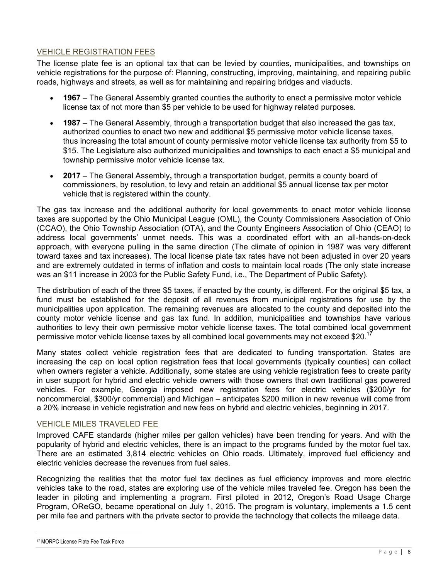## VEHICLE REGISTRATION FEES

The license plate fee is an optional tax that can be levied by counties, municipalities, and townships on vehicle registrations for the purpose of: Planning, constructing, improving, maintaining, and repairing public roads, highways and streets, as well as for maintaining and repairing bridges and viaducts.

- **1967** The General Assembly granted counties the authority to enact a permissive motor vehicle license tax of not more than \$5 per vehicle to be used for highway related purposes.
- **1987** The General Assembly, through a transportation budget that also increased the gas tax, authorized counties to enact two new and additional \$5 permissive motor vehicle license taxes, thus increasing the total amount of county permissive motor vehicle license tax authority from \$5 to \$15. The Legislature also authorized municipalities and townships to each enact a \$5 municipal and township permissive motor vehicle license tax.
- **2017** The General Assembly**,** through a transportation budget, permits a county board of commissioners, by resolution, to levy and retain an additional \$5 annual license tax per motor vehicle that is registered within the county.

The gas tax increase and the additional authority for local governments to enact motor vehicle license taxes are supported by the Ohio Municipal League (OML), the County Commissioners Association of Ohio (CCAO), the Ohio Township Association (OTA), and the County Engineers Association of Ohio (CEAO) to address local governments' unmet needs. This was a coordinated effort with an all-hands-on-deck approach, with everyone pulling in the same direction (The climate of opinion in 1987 was very different toward taxes and tax increases). The local license plate tax rates have not been adjusted in over 20 years and are extremely outdated in terms of inflation and costs to maintain local roads (The only state increase was an \$11 increase in 2003 for the Public Safety Fund, i.e., The Department of Public Safety).

The distribution of each of the three \$5 taxes, if enacted by the county, is different. For the original \$5 tax, a fund must be established for the deposit of all revenues from municipal registrations for use by the municipalities upon application. The remaining revenues are allocated to the county and deposited into the county motor vehicle license and gas tax fund. In addition, municipalities and townships have various authorities to levy their own permissive motor vehicle license taxes. The total combined local government permissive motor vehicle license taxes by all combined local governments may not exceed \$20.<sup>1</sup>

Many states collect vehicle registration fees that are dedicated to funding transportation. States are increasing the cap on local option registration fees that local governments (typically counties) can collect when owners register a vehicle. Additionally, some states are using vehicle registration fees to create parity in user support for hybrid and electric vehicle owners with those owners that own traditional gas powered vehicles. For example, Georgia imposed new registration fees for electric vehicles (\$200/yr for noncommercial, \$300/yr commercial) and Michigan – anticipates \$200 million in new revenue will come from a 20% increase in vehicle registration and new fees on hybrid and electric vehicles, beginning in 2017.

## VEHICLE MILES TRAVELED FEE

Improved CAFE standards (higher miles per gallon vehicles) have been trending for years. And with the popularity of hybrid and electric vehicles, there is an impact to the programs funded by the motor fuel tax. There are an estimated 3,814 electric vehicles on Ohio roads. Ultimately, improved fuel efficiency and electric vehicles decrease the revenues from fuel sales.

Recognizing the realities that the motor fuel tax declines as fuel efficiency improves and more electric vehicles take to the road, states are exploring use of the vehicle miles traveled fee. Oregon has been the leader in piloting and implementing a program. First piloted in 2012, Oregon's Road Usage Charge Program, OReGO, became operational on July 1, 2015. The program is voluntary, implements a 1.5 cent per mile fee and partners with the private sector to provide the technology that collects the mileage data.

<sup>17</sup> MORPC License Plate Fee Task Force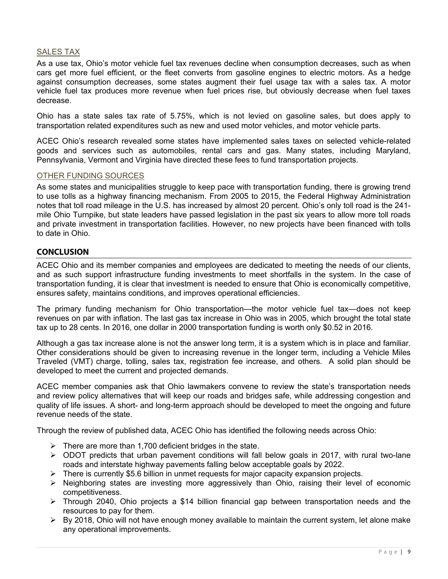## SALES TAX

As a use tax, Ohio's motor vehicle fuel tax revenues decline when consumption decreases, such as when cars get more fuel efficient, or the fleet converts from gasoline engines to electric motors. As a hedge against consumption decreases, some states augment their fuel usage tax with a sales tax. A motor vehicle fuel tax produces more revenue when fuel prices rise, but obviously decrease when fuel taxes decrease.

Ohio has a state sales tax rate of 5.75%, which is not levied on gasoline sales, but does apply to transportation related expenditures such as new and used motor vehicles, and motor vehicle parts.

ACEC Ohio's research revealed some states have implemented sales taxes on selected vehicle-related goods and services such as automobiles, rental cars and gas. Many states, including Maryland, Pennsylvania, Vermont and Virginia have directed these fees to fund transportation projects.

#### OTHER FUNDING SOURCES

As some states and municipalities struggle to keep pace with transportation funding, there is growing trend to use tolls as a highway financing mechanism. From 2005 to 2015, the Federal Highway Administration notes that toll road mileage in the U.S. has increased by almost 20 percent. Ohio's only toll road is the 241 mile Ohio Turnpike, but state leaders have passed legislation in the past six years to allow more toll roads and private investment in transportation facilities. However, no new projects have been financed with tolls to date in Ohio.

#### **CONCLUSION**

ACEC Ohio and its member companies and employees are dedicated to meeting the needs of our clients, and as such support infrastructure funding investments to meet shortfalls in the system. In the case of transportation funding, it is clear that investment is needed to ensure that Ohio is economically competitive, ensures safety, maintains conditions, and improves operational efficiencies.

The primary funding mechanism for Ohio transportation—the motor vehicle fuel tax—does not keep revenues on par with inflation. The last gas tax increase in Ohio was in 2005, which brought the total state tax up to 28 cents. In 2016, one dollar in 2000 transportation funding is worth only \$0.52 in 2016.

Although a gas tax increase alone is not the answer long term, it is a system which is in place and familiar. Other considerations should be given to increasing revenue in the longer term, including a Vehicle Miles Traveled (VMT) charge, tolling, sales tax, registration fee increase, and others. A solid plan should be developed to meet the current and projected demands.

ACEC member companies ask that Ohio lawmakers convene to review the state's transportation needs and review policy alternatives that will keep our roads and bridges safe, while addressing congestion and quality of life issues. A short- and long-term approach should be developed to meet the ongoing and future revenue needs of the state.

Through the review of published data, ACEC Ohio has identified the following needs across Ohio:

- $\triangleright$  There are more than 1,700 deficient bridges in the state.
- $\triangleright$  ODOT predicts that urban pavement conditions will fall below goals in 2017, with rural two-lane roads and interstate highway pavements falling below acceptable goals by 2022.
- $\triangleright$  There is currently \$5.6 billion in unmet requests for major capacity expansion projects.
- $\triangleright$  Neighboring states are investing more aggressively than Ohio, raising their level of economic competitiveness.
- $\triangleright$  Through 2040, Ohio projects a \$14 billion financial gap between transportation needs and the resources to pay for them.
- $\triangleright$  By 2018, Ohio will not have enough money available to maintain the current system, let alone make any operational improvements.